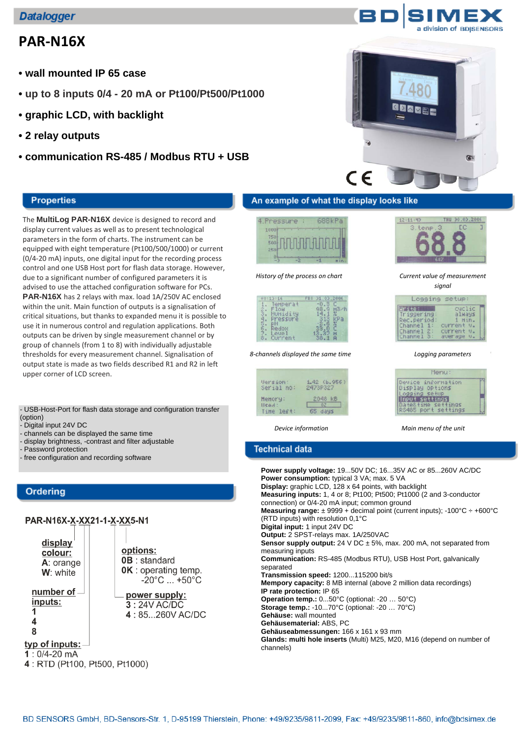# **PAR‐N16X**

- **wall mounted IP 65 case**
- **up to 8 inputs 0/4 20 mA or Pt100/Pt500/Pt1000**
- **graphic LCD, with backlight**
- **2 relay outputs**
- **communication RS-485 / Modbus RTU + USB**

### **Properties**

The **MultiLog PAR-N16X** device is designed to record and display current values as well as to present technological parameters in the form of charts. The instrument can be equipped with eight temperature (Pt100/500/1000) or current (0/4‐20 mA) inputs, one digital input for the recording process control and one USB Host port for flash data storage. However, due to a significant number of configured parameters it is advised to use the attached configuration software for PCs. **PAR-N16X** has 2 relays with max. load 1A/250V AC enclosed within the unit. Main function of outputs is a signalisation of critical situations, but thanks to expanded menu it is possible to use it in numerous control and regulation applications. Both outputs can be driven by single measurement channel or by group of channels (from 1 to 8) with individually adjustable thresholds for every measurement channel. Signalisation of output state is made as two fields described R1 and R2 in left upper corner of LCD screen.

- USB-Host-Port for flash data storage and configuration transfer (option)

options:

**0B** : standard

OK: operating temp.

power supply:

 $3:24V$  AC/DC

 $-20^{\circ}$ C ...  $+50^{\circ}$ C

4:85...260V AC/DC

- Digital input 24V DC

- channels can be displayed the same time
- display brightness, -contrast and filter adjustable
- Password protection

- free configuration and recording software

## **Ordering**

# PAR-N16X-X-XX21-1-X-XX5-N1

display colour: A: orange W: white

number of inputs: 1

 $\overline{4}$ 8

typ of inputs:-

 $1:0/4-20$  mA

|  |  |  |  | 4: RTD (Pt100, Pt500, Pt1000) |
|--|--|--|--|-------------------------------|
|--|--|--|--|-------------------------------|





# An example of what the display looks like





*Current value of measurement signal*

Logging setup

Monu Device information<br>Display options Logging setup<br>Input settings DateStime settings<br>RS485 port settings

always

1 Hin.<br>current v. current V.<br>average W.

**Write:** 

Channel<br>Channel

Triggering<br>Rec.period<br>Channel 1:

*History of the process on chart*

| 08113116  | BZ<br>$D =$ |     |
|-----------|-------------|-----|
| Temperat  |             |     |
|           |             | 13/ |
| tidi      |             |     |
| 11229     |             |     |
| 5<br>edow |             |     |
| PUP       |             |     |
|           |             |     |

*8‐channels displayed the same time Logging parameters*

| Version:   | $1.42$ (b. 956) |
|------------|-----------------|
| Serial no: | 2473P327        |
| Henory:    | 2048 KB         |
| :bezll     | 02              |
| Time left: | 65 days         |

*Device information Main menu of the unit*

### **Technical data**

**Power supply voltage:** 19...50V DC; 16...35V AC or 85...260V AC/DC **Power consumption:** typical 3 VA; max. 5 VA **Display:** graphic LCD, 128 x 64 points, with backlight **Measuring inputs:** 1, 4 or 8; Pt100; Pt500; Pt1000 (2 and 3-conductor connection) or 0/4-20 mA input; common ground **Measuring range:** ± 9999 + decimal point (current inputs); -100°C ÷ +600°C (RTD inputs) with resolution 0,1°C **Digital input:** 1 input 24V DC **Output:** 2 SPST-relays max. 1A/250VAC **Sensor supply output:** 24 V DC ± 5%, max. 200 mA, not separated from measuring inputs **Communication:** RS-485 (Modbus RTU), USB Host Port, galvanically separated **Transmission speed:** 1200...115200 bit/s **Mempory capacity:** 8 MB internal (above 2 million data recordings) **IP rate protection:** IP 65 **Operation temp.:** 0...50°C (optional: -20 … 50°C) **Storage temp.:** -10...70°C (optional: -20 … 70°C) **Gehäuse:** wall mounted **Gehäusematerial:** ABS, PC **Gehäuseabmessungen:** 166 x 161 x 93 mm **Glands: multi hole inserts** (Multi) M25, M20, M16 (depend on number of channels)